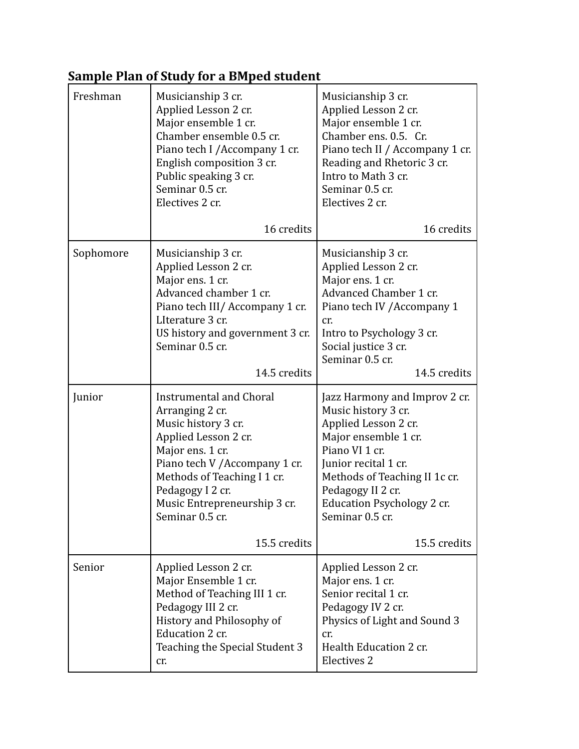## **Sample Plan of Study for a BMped student**

| Freshman  | Musicianship 3 cr.<br>Applied Lesson 2 cr.<br>Major ensemble 1 cr.<br>Chamber ensemble 0.5 cr.<br>Piano tech I / Accompany 1 cr.<br>English composition 3 cr.<br>Public speaking 3 cr.<br>Seminar 0.5 cr.<br>Electives 2 cr.                                                 | Musicianship 3 cr.<br>Applied Lesson 2 cr.<br>Major ensemble 1 cr.<br>Chamber ens. 0.5. Cr.<br>Piano tech II / Accompany 1 cr.<br>Reading and Rhetoric 3 cr.<br>Intro to Math 3 cr.<br>Seminar 0.5 cr.<br>Electives 2 cr.                                                    |
|-----------|------------------------------------------------------------------------------------------------------------------------------------------------------------------------------------------------------------------------------------------------------------------------------|------------------------------------------------------------------------------------------------------------------------------------------------------------------------------------------------------------------------------------------------------------------------------|
|           | 16 credits                                                                                                                                                                                                                                                                   | 16 credits                                                                                                                                                                                                                                                                   |
| Sophomore | Musicianship 3 cr.<br>Applied Lesson 2 cr.<br>Major ens. 1 cr.<br>Advanced chamber 1 cr.<br>Piano tech III/ Accompany 1 cr.<br>LIterature 3 cr.<br>US history and government 3 cr.<br>Seminar 0.5 cr.<br>14.5 credits                                                        | Musicianship 3 cr.<br>Applied Lesson 2 cr.<br>Major ens. 1 cr.<br>Advanced Chamber 1 cr.<br>Piano tech IV / Accompany 1<br>cr.<br>Intro to Psychology 3 cr.<br>Social justice 3 cr.<br>Seminar 0.5 cr.<br>14.5 credits                                                       |
| Junior    | <b>Instrumental and Choral</b><br>Arranging 2 cr.<br>Music history 3 cr.<br>Applied Lesson 2 cr.<br>Major ens. 1 cr.<br>Piano tech V / Accompany 1 cr.<br>Methods of Teaching I 1 cr.<br>Pedagogy I 2 cr.<br>Music Entrepreneurship 3 cr.<br>Seminar 0.5 cr.<br>15.5 credits | Jazz Harmony and Improv 2 cr.<br>Music history 3 cr.<br>Applied Lesson 2 cr.<br>Major ensemble 1 cr.<br>Piano VI 1 cr.<br>Junior recital 1 cr.<br>Methods of Teaching II 1c cr.<br>Pedagogy II 2 cr.<br><b>Education Psychology 2 cr.</b><br>Seminar 0.5 cr.<br>15.5 credits |
| Senior    | Applied Lesson 2 cr.<br>Major Ensemble 1 cr.<br>Method of Teaching III 1 cr.<br>Pedagogy III 2 cr.<br>History and Philosophy of<br>Education 2 cr.<br>Teaching the Special Student 3<br>cr.                                                                                  | Applied Lesson 2 cr.<br>Major ens. 1 cr.<br>Senior recital 1 cr.<br>Pedagogy IV 2 cr.<br>Physics of Light and Sound 3<br>cr.<br>Health Education 2 cr.<br>Electives 2                                                                                                        |